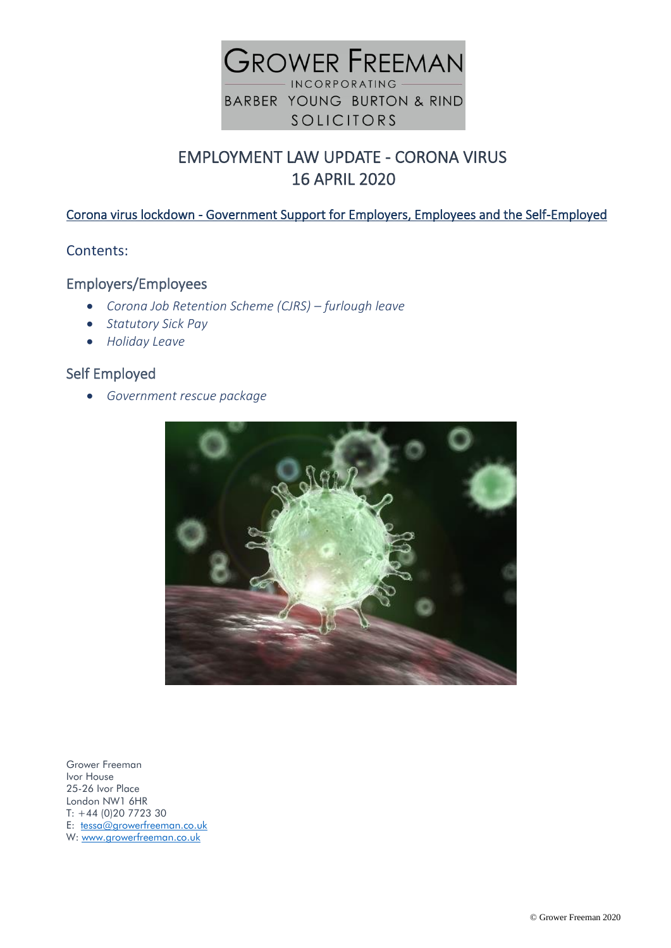

# EMPLOYMENT LAW UPDATE - CORONA VIRUS 16 APRIL 2020

## Corona virus lockdown - Government Support for Employers, Employees and the Self-Employed

#### Contents:

## Employers/Employees

- *Corona Job Retention Scheme (CJRS) – furlough leave*
- *Statutory Sick Pay*
- *Holiday Leave*

## Self Employed

• *Government rescue package*



Grower Freeman Ivor House 25-26 Ivor Place London NW1 6HR T: +44 (0)20 7723 30 E: [tessa@growerfreeman.co.uk](mailto:tessa@growerfreeman.co.uk) W: [www.growerfreeman.co.uk](http://www.growerfreeman.co.uk/)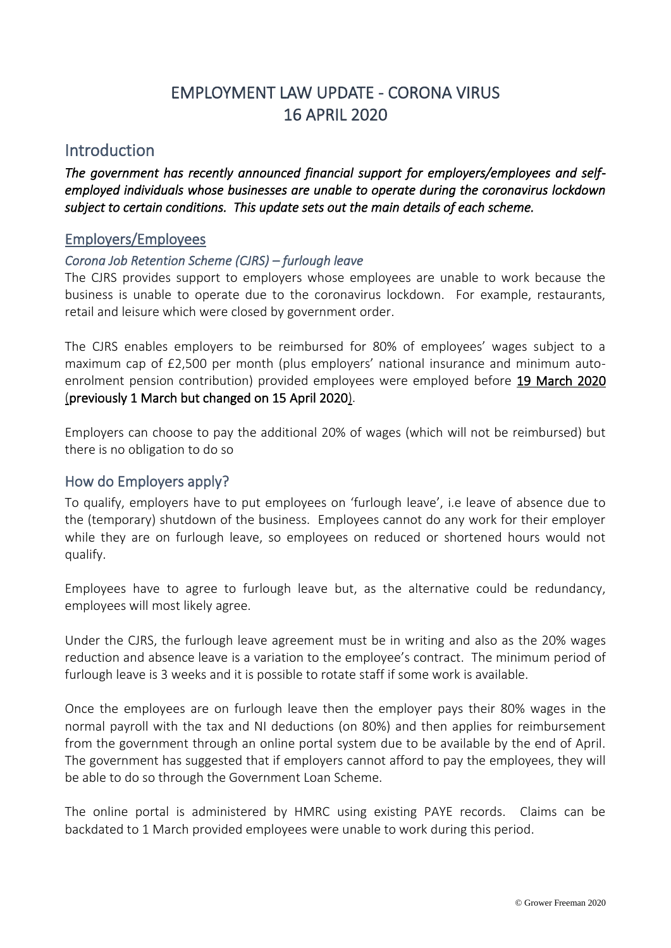# EMPLOYMENT LAW UPDATE - CORONA VIRUS 16 APRIL 2020

## **Introduction**

*The government has recently announced financial support for employers/employees and selfemployed individuals whose businesses are unable to operate during the coronavirus lockdown subject to certain conditions. This update sets out the main details of each scheme.* 

#### Employers/Employees

#### *Corona Job Retention Scheme (CJRS) – furlough leave*

The CJRS provides support to employers whose employees are unable to work because the business is unable to operate due to the coronavirus lockdown. For example, restaurants, retail and leisure which were closed by government order.

The CJRS enables employers to be reimbursed for 80% of employees' wages subject to a maximum cap of £2,500 per month (plus employers' national insurance and minimum autoenrolment pension contribution) provided employees were employed before 19 March 2020 (previously 1 March but changed on 15 April 2020).

Employers can choose to pay the additional 20% of wages (which will not be reimbursed) but there is no obligation to do so

#### How do Employers apply?

To qualify, employers have to put employees on 'furlough leave', i.e leave of absence due to the (temporary) shutdown of the business. Employees cannot do any work for their employer while they are on furlough leave, so employees on reduced or shortened hours would not qualify.

Employees have to agree to furlough leave but, as the alternative could be redundancy, employees will most likely agree.

Under the CJRS, the furlough leave agreement must be in writing and also as the 20% wages reduction and absence leave is a variation to the employee's contract. The minimum period of furlough leave is 3 weeks and it is possible to rotate staff if some work is available.

Once the employees are on furlough leave then the employer pays their 80% wages in the normal payroll with the tax and NI deductions (on 80%) and then applies for reimbursement from the government through an online portal system due to be available by the end of April. The government has suggested that if employers cannot afford to pay the employees, they will be able to do so through the Government Loan Scheme.

The online portal is administered by HMRC using existing PAYE records. Claims can be backdated to 1 March provided employees were unable to work during this period.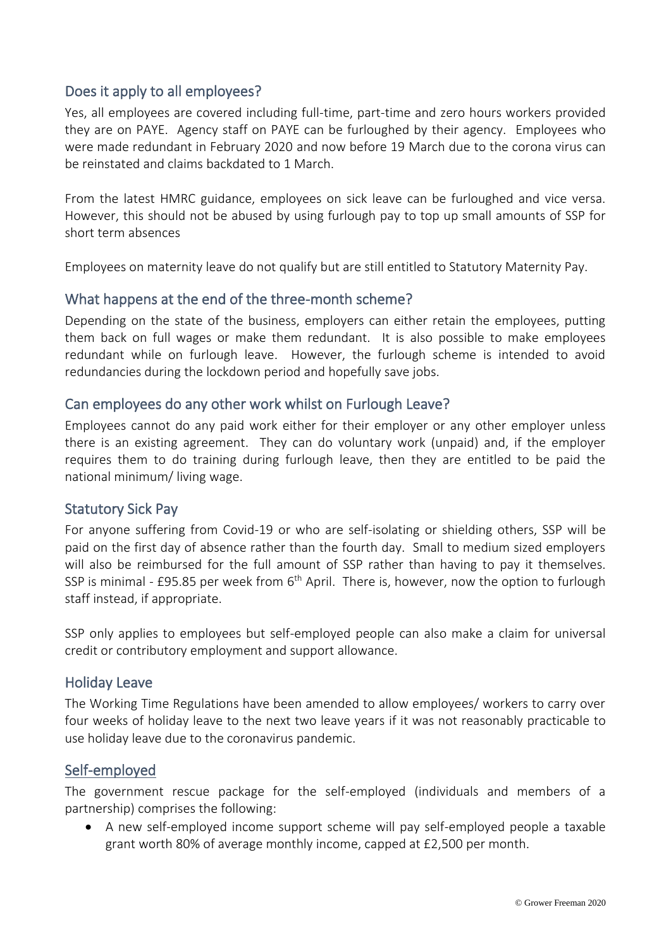## Does it apply to all employees?

Yes, all employees are covered including full-time, part-time and zero hours workers provided they are on PAYE. Agency staff on PAYE can be furloughed by their agency. Employees who were made redundant in February 2020 and now before 19 March due to the corona virus can be reinstated and claims backdated to 1 March.

From the latest HMRC guidance, employees on sick leave can be furloughed and vice versa. However, this should not be abused by using furlough pay to top up small amounts of SSP for short term absences

Employees on maternity leave do not qualify but are still entitled to Statutory Maternity Pay.

## What happens at the end of the three-month scheme?

Depending on the state of the business, employers can either retain the employees, putting them back on full wages or make them redundant. It is also possible to make employees redundant while on furlough leave. However, the furlough scheme is intended to avoid redundancies during the lockdown period and hopefully save jobs.

## Can employees do any other work whilst on Furlough Leave?

Employees cannot do any paid work either for their employer or any other employer unless there is an existing agreement. They can do voluntary work (unpaid) and, if the employer requires them to do training during furlough leave, then they are entitled to be paid the national minimum/ living wage.

## Statutory Sick Pay

For anyone suffering from Covid-19 or who are self-isolating or shielding others, SSP will be paid on the first day of absence rather than the fourth day. Small to medium sized employers will also be reimbursed for the full amount of SSP rather than having to pay it themselves. SSP is minimal - £95.85 per week from  $6<sup>th</sup>$  April. There is, however, now the option to furlough staff instead, if appropriate.

SSP only applies to employees but self-employed people can also make a claim for universal credit or contributory employment and support allowance.

#### Holiday Leave

The Working Time Regulations have been amended to allow employees/ workers to carry over four weeks of holiday leave to the next two leave years if it was not reasonably practicable to use holiday leave due to the coronavirus pandemic.

#### Self-employed

The government rescue package for the self-employed (individuals and members of a partnership) comprises the following:

• A new self-employed income support scheme will pay self-employed people a taxable grant worth 80% of average monthly income, capped at £2,500 per month.